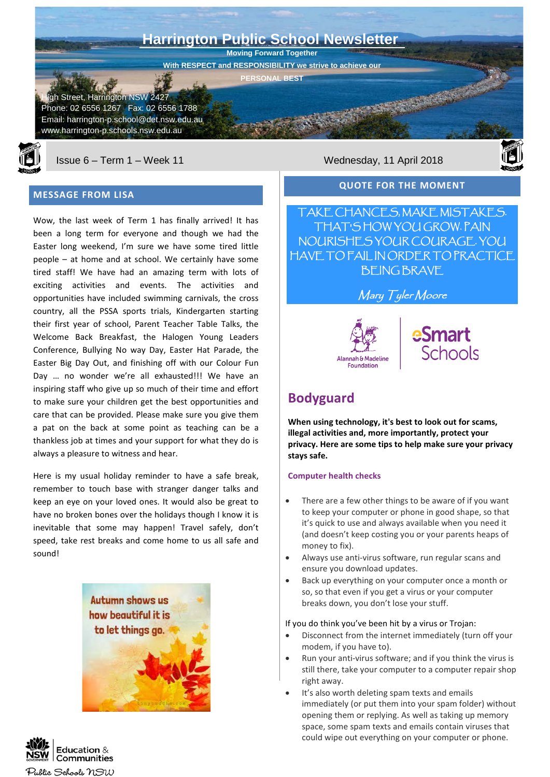



Issue 6 – Term 1 – Week 11 Wednesday, 11 April 2018

#### **MESSAGE FROM LISA**

Wow, the last week of Term 1 has finally arrived! It has been a long term for everyone and though we had the Easter long weekend, I'm sure we have some tired little people – at home and at school. We certainly have some tired staff! We have had an amazing term with lots of exciting activities and events. The activities and opportunities have included swimming carnivals, the cross country, all the PSSA sports trials, Kindergarten starting their first year of school, Parent Teacher Table Talks, the Welcome Back Breakfast, the Halogen Young Leaders Conference, Bullying No way Day, Easter Hat Parade, the Easter Big Day Out, and finishing off with our Colour Fun Day … no wonder we're all exhausted!!! We have an inspiring staff who give up so much of their time and effort to make sure your children get the best opportunities and care that can be provided. Please make sure you give them a pat on the back at some point as teaching can be a thankless job at times and your support for what they do is always a pleasure to witness and hear.

Here is my usual holiday reminder to have a safe break, remember to touch base with stranger danger talks and keep an eye on your loved ones. It would also be great to have no broken bones over the holidays though I know it is inevitable that some may happen! Travel safely, don't speed, take rest breaks and come home to us all safe and sound!







#### **QUOTE FOR THE MOMENT**

TAKE CHANCES, MAKE MISTAKES. THAT'S HOW YOU GROW. PAIN NOURISHES YOUR COURAGE. YOU HAVE TO FAIL IN ORDER TO PRACTICE BEING BRAVE

Mary Tyler Moore





# **Bodyguard**

**When using technology, it's best to look out for scams, illegal activities and, more importantly, protect your privacy. Here are some tips to help make sure your privacy stays safe.** 

#### **Computer health checks**

- There are a few other things to be aware of if you want to keep your computer or phone in good shape, so that it's quick to use and always available when you need it (and doesn't keep costing you or your parents heaps of money to fix).
- Always use anti-virus software, run regular scans and ensure you download updates.
- Back up everything on your computer once a month or so, so that even if you get a virus or your computer breaks down, you don't lose your stuff.

#### If you do think you've been hit by a virus or Trojan:

- Disconnect from the internet immediately (turn off your modem, if you have to).
- Run your anti-virus software; and if you think the virus is still there, take your computer to a computer repair shop right away.
- It's also worth deleting spam texts and emails immediately (or put them into your spam folder) without opening them or replying. As well as taking up memory space, some spam texts and emails contain viruses that could wipe out everything on your computer or phone.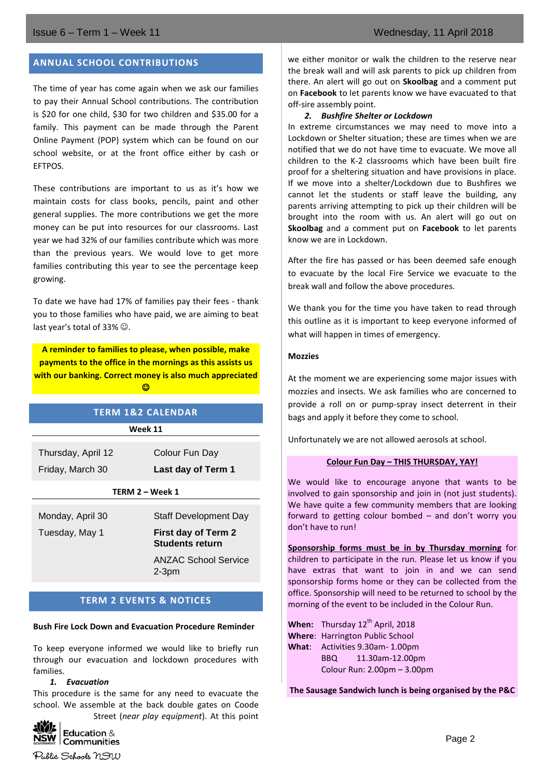#### **ANNUAL SCHOOL CONTRIBUTIONS**

The time of year has come again when we ask our families to pay their Annual School contributions. The contribution is \$20 for one child, \$30 for two children and \$35.00 for a family. This payment can be made through the Parent Online Payment (POP) system which can be found on our school website, or at the front office either by cash or EFTPOS.

These contributions are important to us as it's how we maintain costs for class books, pencils, paint and other general supplies. The more contributions we get the more money can be put into resources for our classrooms. Last year we had 32% of our families contribute which was more than the previous years. We would love to get more families contributing this year to see the percentage keep growing.

To date we have had 17% of families pay their fees - thank you to those families who have paid, we are aiming to beat last year's total of 33%  $\odot$ .

**A reminder to families to please, when possible, make payments to the office in the mornings as this assists us with our banking. Correct money is also much appreciated**   $\odot$ 

| <b>TERM 1&amp;2 CALENDAR</b>           |                                                                                                                  |  |
|----------------------------------------|------------------------------------------------------------------------------------------------------------------|--|
| Week 11                                |                                                                                                                  |  |
| Thursday, April 12<br>Friday, March 30 | Colour Fun Day<br>Last day of Term 1                                                                             |  |
| TERM 2 – Week 1                        |                                                                                                                  |  |
| Monday, April 30<br>Tuesday, May 1     | Staff Development Day<br>First day of Term 2<br><b>Students return</b><br><b>ANZAC School Service</b><br>$2-3pm$ |  |
|                                        |                                                                                                                  |  |

## **TERM 2 EVENTS & NOTICES**

#### **Bush Fire Lock Down and Evacuation Procedure Reminder**

To keep everyone informed we would like to briefly run through our evacuation and lockdown procedures with families.

#### *1. Evacuation*

This procedure is the same for any need to evacuate the school. We assemble at the back double gates on Coode Street (*near play equipment*). At this point



Public Schools NSW

we either monitor or walk the children to the reserve near the break wall and will ask parents to pick up children from there. An alert will go out on **Skoolbag** and a comment put on **Facebook** to let parents know we have evacuated to that off-sire assembly point.

#### *2. Bushfire Shelter or Lockdown*

In extreme circumstances we may need to move into a Lockdown or Shelter situation; these are times when we are notified that we do not have time to evacuate. We move all children to the K-2 classrooms which have been built fire proof for a sheltering situation and have provisions in place. If we move into a shelter/Lockdown due to Bushfires we cannot let the students or staff leave the building, any parents arriving attempting to pick up their children will be brought into the room with us. An alert will go out on **Skoolbag** and a comment put on **Facebook** to let parents know we are in Lockdown.

After the fire has passed or has been deemed safe enough to evacuate by the local Fire Service we evacuate to the break wall and follow the above procedures.

We thank you for the time you have taken to read through this outline as it is important to keep everyone informed of what will happen in times of emergency.

#### **Mozzies**

At the moment we are experiencing some major issues with mozzies and insects. We ask families who are concerned to provide a roll on or pump-spray insect deterrent in their bags and apply it before they come to school.

Unfortunately we are not allowed aerosols at school.

#### **Colour Fun Day – THIS THURSDAY, YAY!**

We would like to encourage anyone that wants to be involved to gain sponsorship and join in (not just students). We have quite a few community members that are looking forward to getting colour bombed – and don't worry you don't have to run!

**Sponsorship forms must be in by Thursday morning** for children to participate in the run. Please let us know if you have extras that want to join in and we can send sponsorship forms home or they can be collected from the office. Sponsorship will need to be returned to school by the morning of the event to be included in the Colour Run.

**When:** Thursday 12<sup>th</sup> April, 2018 **Where**: Harrington Public School **What**: Activities 9.30am- 1.00pm BBQ 11.30am-12.00pm Colour Run: 2.00pm – 3.00pm

**The Sausage Sandwich lunch is being organised by the P&C**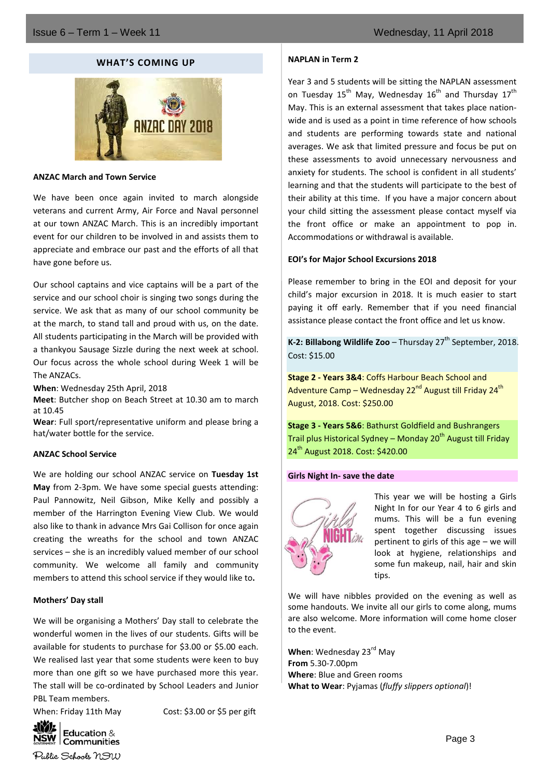#### **WHAT'S COMING UP**



#### **ANZAC March and Town Service**

We have been once again invited to march alongside veterans and current Army, Air Force and Naval personnel at our town ANZAC March. This is an incredibly important event for our children to be involved in and assists them to appreciate and embrace our past and the efforts of all that have gone before us.

Our school captains and vice captains will be a part of the service and our school choir is singing two songs during the service. We ask that as many of our school community be at the march, to stand tall and proud with us, on the date. All students participating in the March will be provided with a thankyou Sausage Sizzle during the next week at school. Our focus across the whole school during Week 1 will be The ANZACs.

**When**: Wednesday 25th April, 2018

**Meet**: Butcher shop on Beach Street at 10.30 am to march at 10.45

**Wear**: Full sport/representative uniform and please bring a hat/water bottle for the service.

#### **ANZAC School Service**

We are holding our school ANZAC service on **Tuesday 1st May** from 2-3pm. We have some special guests attending: Paul Pannowitz, Neil Gibson, Mike Kelly and possibly a member of the Harrington Evening View Club. We would also like to thank in advance Mrs Gai Collison for once again creating the wreaths for the school and town ANZAC services – she is an incredibly valued member of our school community. We welcome all family and community members to attend this school service if they would like to**.**

#### **Mothers' Day stall**

We will be organising a Mothers' Day stall to celebrate the wonderful women in the lives of our students. Gifts will be available for students to purchase for \$3.00 or \$5.00 each. We realised last year that some students were keen to buy more than one gift so we have purchased more this year. The stall will be co-ordinated by School Leaders and Junior PBL Team members.

When: Friday 11th May Cost: \$3.00 or \$5 per gift

#### **NAPLAN in Term 2**

Year 3 and 5 students will be sitting the NAPLAN assessment on Tuesday 15<sup>th</sup> May, Wednesday 16<sup>th</sup> and Thursday 17<sup>th</sup> May. This is an external assessment that takes place nationwide and is used as a point in time reference of how schools and students are performing towards state and national averages. We ask that limited pressure and focus be put on these assessments to avoid unnecessary nervousness and anxiety for students. The school is confident in all students' learning and that the students will participate to the best of their ability at this time. If you have a major concern about your child sitting the assessment please contact myself via the front office or make an appointment to pop in. Accommodations or withdrawal is available.

#### **EOI's for Major School Excursions 2018**

Please remember to bring in the EOI and deposit for your child's major excursion in 2018. It is much easier to start paying it off early. Remember that if you need financial assistance please contact the front office and let us know.

**K-2: Billabong Wildlife Zoo** – Thursday  $27<sup>th</sup>$  September, 2018. Cost: \$15.00

**Stage 2 - Years 3&4**: Coffs Harbour Beach School and Adventure Camp – Wednesday 22<sup>nd</sup> August till Friday 24<sup>th</sup> August, 2018. Cost: \$250.00

**Stage 3 - Years 5&6**: Bathurst Goldfield and Bushrangers Trail plus Historical Sydney – Monday  $20<sup>th</sup>$  August till Friday 24<sup>th</sup> August 2018. Cost: \$420.00

#### **Girls Night In- save the date**



This year we will be hosting a Girls Night In for our Year 4 to 6 girls and mums. This will be a fun evening spent together discussing issues pertinent to girls of this age – we will look at hygiene, relationships and some fun makeup, nail, hair and skin tips.

We will have nibbles provided on the evening as well as some handouts. We invite all our girls to come along, mums are also welcome. More information will come home closer to the event.

When: Wednesday 23<sup>rd</sup> May **From** 5.30-7.00pm **Where**: Blue and Green rooms **What to Wear**: Pyjamas (*fluffy slippers optional*)!

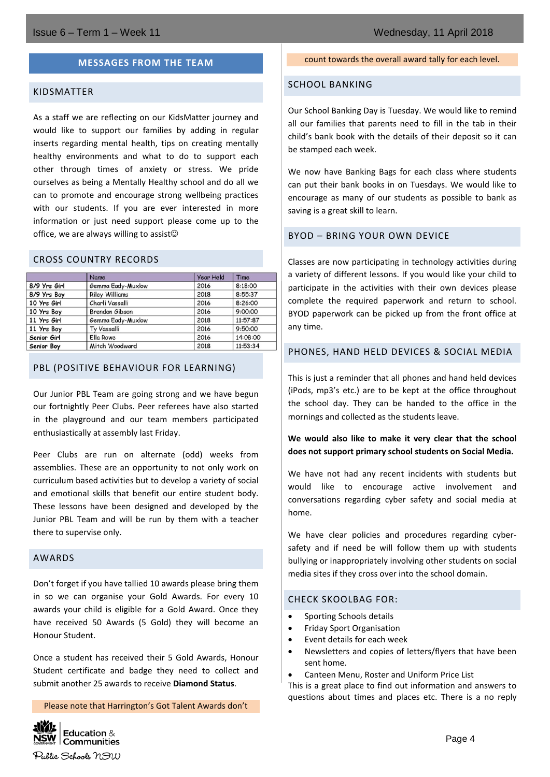#### **MESSAGES FROM THE TEAM**

#### KIDSMATTER

As a staff we are reflecting on our KidsMatter journey and would like to support our families by adding in regular inserts regarding mental health, tips on creating mentally healthy environments and what to do to support each other through times of anxiety or stress. We pride ourselves as being a Mentally Healthy school and do all we can to promote and encourage strong wellbeing practices with our students. If you are ever interested in more information or just need support please come up to the office, we are always willing to assist $\circledcirc$ 

#### CROSS COUNTRY RECORDS

|              | Name                  | <b>Year Held</b> | Time     |
|--------------|-----------------------|------------------|----------|
| 8/9 Yrs Girl | Gemma Eady-Muxlow     | 2016             | 8:18:00  |
| 8/9 Yrs Boy  | <b>Riley Williams</b> | 2018             | 8:55:37  |
| 10 Yrs Girl  | Charli Vassalli       | 2016             | 8:26:00  |
| 10 Yrs Boy   | Brendon Gibson        | 2016             | 9:00:00  |
| 11 Yrs Girl  | Gemma Eady-Muxlow     | 2018             | 11:57:87 |
| 11 Yrs Boy   | Ty Vassalli           | 2016             | 9:50:00  |
| Senior Girl  | Ella Rowe             | 2016             | 14:08:00 |
| Senior Boy   | Mitch Woodward        | 2018             | 11:53:34 |

#### PBL (POSITIVE BEHAVIOUR FOR LEARNING)

Our Junior PBL Team are going strong and we have begun our fortnightly Peer Clubs. Peer referees have also started in the playground and our team members participated enthusiastically at assembly last Friday.

Peer Clubs are run on alternate (odd) weeks from assemblies. These are an opportunity to not only work on curriculum based activities but to develop a variety of social and emotional skills that benefit our entire student body. These lessons have been designed and developed by the Junior PBL Team and will be run by them with a teacher there to supervise only.

#### AWARDS

Don't forget if you have tallied 10 awards please bring them in so we can organise your Gold Awards. For every 10 awards your child is eligible for a Gold Award. Once they have received 50 Awards (5 Gold) they will become an Honour Student.

Once a student has received their 5 Gold Awards, Honour Student certificate and badge they need to collect and submit another 25 awards to receive **Diamond Status**.

Please note that Harrington's Got Talent Awards don't



#### count towards the overall award tally for each level.

#### SCHOOL BANKING

Our School Banking Day is Tuesday. We would like to remind all our families that parents need to fill in the tab in their child's bank book with the details of their deposit so it can be stamped each week.

We now have Banking Bags for each class where students can put their bank books in on Tuesdays. We would like to encourage as many of our students as possible to bank as saving is a great skill to learn.

#### BYOD – BRING YOUR OWN DEVICE

Classes are now participating in technology activities during a variety of different lessons. If you would like your child to participate in the activities with their own devices please complete the required paperwork and return to school. BYOD paperwork can be picked up from the front office at any time.

#### PHONES, HAND HELD DEVICES & SOCIAL MEDIA

This is just a reminder that all phones and hand held devices (iPods, mp3's etc.) are to be kept at the office throughout the school day. They can be handed to the office in the mornings and collected as the students leave.

#### **We would also like to make it very clear that the school does not support primary school students on Social Media.**

We have not had any recent incidents with students but would like to encourage active involvement and conversations regarding cyber safety and social media at home.

We have clear policies and procedures regarding cybersafety and if need be will follow them up with students bullying or inappropriately involving other students on social media sites if they cross over into the school domain.

#### CHECK SKOOLBAG FOR:

- Sporting Schools details
- Friday Sport Organisation
- Event details for each week
- Newsletters and copies of letters/flyers that have been sent home.
- Canteen Menu, Roster and Uniform Price List

This is a great place to find out information and answers to questions about times and places etc. There is a no reply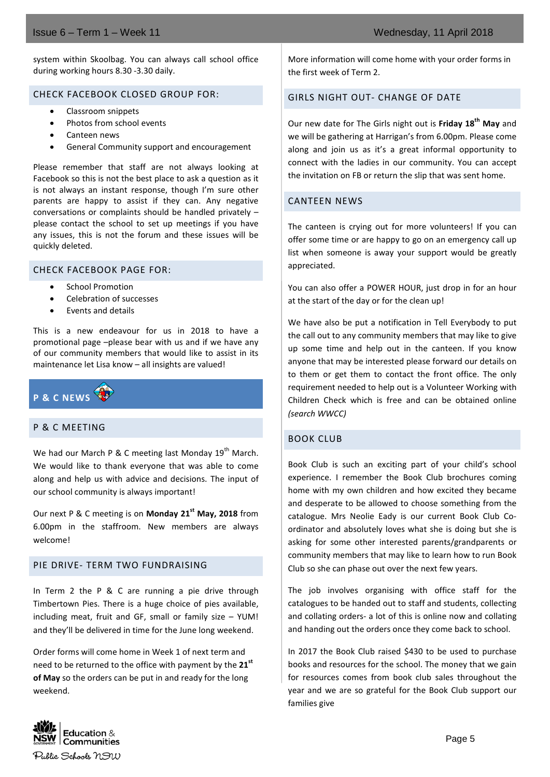### Issue 6 – Term 1 – Week 11 Wednesday, 11 April 2018

system within Skoolbag. You can always call school office during working hours 8.30 -3.30 daily.

#### CHECK FACEBOOK CLOSED GROUP FOR:

- Classroom snippets
- Photos from school events
- Canteen news
- General Community support and encouragement

Please remember that staff are not always looking at Facebook so this is not the best place to ask a question as it is not always an instant response, though I'm sure other parents are happy to assist if they can. Any negative conversations or complaints should be handled privately – please contact the school to set up meetings if you have any issues, this is not the forum and these issues will be quickly deleted.

#### CHECK FACEBOOK PAGE FOR:

- School Promotion
- Celebration of successes
- Events and details

This is a new endeavour for us in 2018 to have a promotional page –please bear with us and if we have any of our community members that would like to assist in its maintenance let Lisa know – all insights are valued!



#### P & C MEETING

We had our March P & C meeting last Monday  $19^{th}$  March. We would like to thank everyone that was able to come along and help us with advice and decisions. The input of our school community is always important!

Our next P & C meeting is on **Monday 21st May, 2018** from 6.00pm in the staffroom. New members are always welcome!

#### PIE DRIVE- TERM TWO FUNDRAISING

In Term 2 the P & C are running a pie drive through Timbertown Pies. There is a huge choice of pies available, including meat, fruit and GF, small or family size – YUM! and they'll be delivered in time for the June long weekend.

Order forms will come home in Week 1 of next term and need to be returned to the office with payment by the **21st of May** so the orders can be put in and ready for the long weekend.

More information will come home with your order forms in the first week of Term 2.

### GIRLS NIGHT OUT- CHANGE OF DATE

Our new date for The Girls night out is **Friday 18th May** and we will be gathering at Harrigan's from 6.00pm. Please come along and join us as it's a great informal opportunity to connect with the ladies in our community. You can accept the invitation on FB or return the slip that was sent home.

#### CANTEEN NEWS

The canteen is crying out for more volunteers! If you can offer some time or are happy to go on an emergency call up list when someone is away your support would be greatly appreciated.

You can also offer a POWER HOUR, just drop in for an hour at the start of the day or for the clean up!

We have also be put a notification in Tell Everybody to put the call out to any community members that may like to give up some time and help out in the canteen. If you know anyone that may be interested please forward our details on to them or get them to contact the front office. The only requirement needed to help out is a Volunteer Working with Children Check which is free and can be obtained online *(search WWCC)*

#### BOOK CLUB

Book Club is such an exciting part of your child's school experience. I remember the Book Club brochures coming home with my own children and how excited they became and desperate to be allowed to choose something from the catalogue. Mrs Neolie Eady is our current Book Club Coordinator and absolutely loves what she is doing but she is asking for some other interested parents/grandparents or community members that may like to learn how to run Book Club so she can phase out over the next few years.

The job involves organising with office staff for the catalogues to be handed out to staff and students, collecting and collating orders- a lot of this is online now and collating and handing out the orders once they come back to school.

In 2017 the Book Club raised \$430 to be used to purchase books and resources for the school. The money that we gain for resources comes from book club sales throughout the year and we are so grateful for the Book Club support our families give